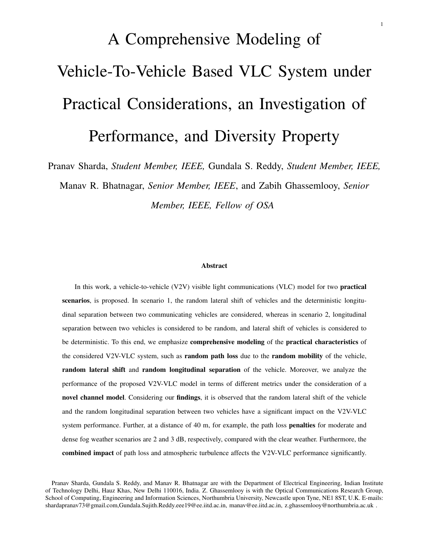# A Comprehensive Modeling of Vehicle-To-Vehicle Based VLC System under Practical Considerations, an Investigation of Performance, and Diversity Property

Pranav Sharda, *Student Member, IEEE,* Gundala S. Reddy, *Student Member, IEEE,*

Manav R. Bhatnagar, *Senior Member, IEEE*, and Zabih Ghassemlooy, *Senior Member, IEEE, Fellow of OSA*

#### Abstract

In this work, a vehicle-to-vehicle (V2V) visible light communications (VLC) model for two practical scenarios, is proposed. In scenario 1, the random lateral shift of vehicles and the deterministic longitudinal separation between two communicating vehicles are considered, whereas in scenario 2, longitudinal separation between two vehicles is considered to be random, and lateral shift of vehicles is considered to be deterministic. To this end, we emphasize comprehensive modeling of the practical characteristics of the considered V2V-VLC system, such as random path loss due to the random mobility of the vehicle, random lateral shift and random longitudinal separation of the vehicle. Moreover, we analyze the performance of the proposed V2V-VLC model in terms of different metrics under the consideration of a novel channel model. Considering our findings, it is observed that the random lateral shift of the vehicle and the random longitudinal separation between two vehicles have a significant impact on the V2V-VLC system performance. Further, at a distance of 40 m, for example, the path loss **penalties** for moderate and dense fog weather scenarios are 2 and 3 dB, respectively, compared with the clear weather. Furthermore, the combined impact of path loss and atmospheric turbulence affects the V2V-VLC performance significantly.

Pranav Sharda, Gundala S. Reddy, and Manav R. Bhatnagar are with the Department of Electrical Engineering, Indian Institute of Technology Delhi, Hauz Khas, New Delhi 110016, India. Z. Ghassemlooy is with the Optical Communications Research Group, School of Computing, Engineering and Information Sciences, Northumbria University, Newcastle upon Tyne, NE1 8ST, U.K. E-mails: shardapranav73@gmail.com,Gundala.Sujith.Reddy.eee19@ee.iitd.ac.in, manav@ee.iitd.ac.in, z.ghassemlooy@northumbria.ac.uk.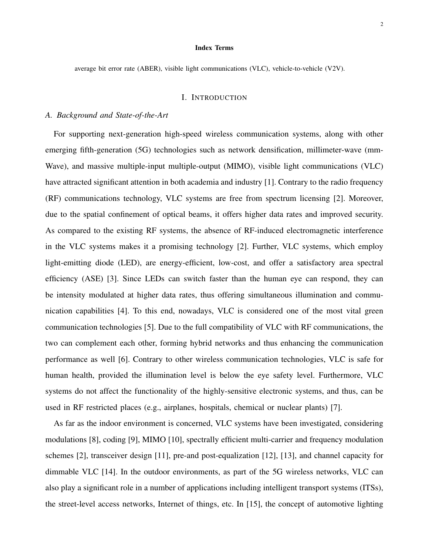#### Index Terms

average bit error rate (ABER), visible light communications (VLC), vehicle-to-vehicle (V2V).

#### I. INTRODUCTION

#### *A. Background and State-of-the-Art*

For supporting next-generation high-speed wireless communication systems, along with other emerging fifth-generation (5G) technologies such as network densification, millimeter-wave (mm-Wave), and massive multiple-input multiple-output (MIMO), visible light communications (VLC) have attracted significant attention in both academia and industry [1]. Contrary to the radio frequency (RF) communications technology, VLC systems are free from spectrum licensing [2]. Moreover, due to the spatial confinement of optical beams, it offers higher data rates and improved security. As compared to the existing RF systems, the absence of RF-induced electromagnetic interference in the VLC systems makes it a promising technology [2]. Further, VLC systems, which employ light-emitting diode (LED), are energy-efficient, low-cost, and offer a satisfactory area spectral efficiency (ASE) [3]. Since LEDs can switch faster than the human eye can respond, they can be intensity modulated at higher data rates, thus offering simultaneous illumination and communication capabilities [4]. To this end, nowadays, VLC is considered one of the most vital green communication technologies [5]. Due to the full compatibility of VLC with RF communications, the two can complement each other, forming hybrid networks and thus enhancing the communication performance as well [6]. Contrary to other wireless communication technologies, VLC is safe for human health, provided the illumination level is below the eye safety level. Furthermore, VLC systems do not affect the functionality of the highly-sensitive electronic systems, and thus, can be used in RF restricted places (e.g., airplanes, hospitals, chemical or nuclear plants) [7].

As far as the indoor environment is concerned, VLC systems have been investigated, considering modulations [8], coding [9], MIMO [10], spectrally efficient multi-carrier and frequency modulation schemes [2], transceiver design [11], pre-and post-equalization [12], [13], and channel capacity for dimmable VLC [14]. In the outdoor environments, as part of the 5G wireless networks, VLC can also play a significant role in a number of applications including intelligent transport systems (ITSs), the street-level access networks, Internet of things, etc. In [15], the concept of automotive lighting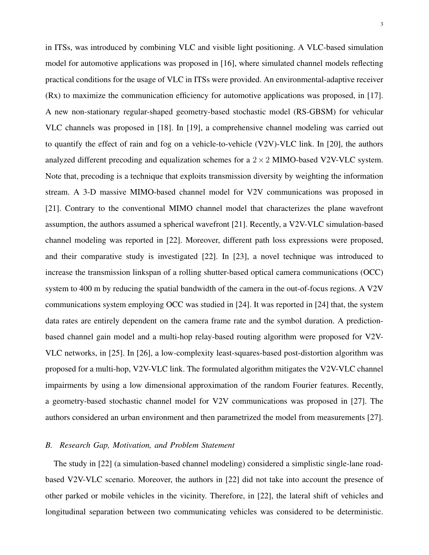in ITSs, was introduced by combining VLC and visible light positioning. A VLC-based simulation model for automotive applications was proposed in [16], where simulated channel models reflecting practical conditions for the usage of VLC in ITSs were provided. An environmental-adaptive receiver (Rx) to maximize the communication efficiency for automotive applications was proposed, in [17]. A new non-stationary regular-shaped geometry-based stochastic model (RS-GBSM) for vehicular VLC channels was proposed in [18]. In [19], a comprehensive channel modeling was carried out to quantify the effect of rain and fog on a vehicle-to-vehicle (V2V)-VLC link. In [20], the authors analyzed different precoding and equalization schemes for a  $2 \times 2$  MIMO-based V2V-VLC system. Note that, precoding is a technique that exploits transmission diversity by weighting the information stream. A 3-D massive MIMO-based channel model for V2V communications was proposed in [21]. Contrary to the conventional MIMO channel model that characterizes the plane wavefront assumption, the authors assumed a spherical wavefront [21]. Recently, a V2V-VLC simulation-based channel modeling was reported in [22]. Moreover, different path loss expressions were proposed, and their comparative study is investigated [22]. In [23], a novel technique was introduced to increase the transmission linkspan of a rolling shutter-based optical camera communications (OCC) system to 400 m by reducing the spatial bandwidth of the camera in the out-of-focus regions. A V2V communications system employing OCC was studied in [24]. It was reported in [24] that, the system data rates are entirely dependent on the camera frame rate and the symbol duration. A predictionbased channel gain model and a multi-hop relay-based routing algorithm were proposed for V2V-VLC networks, in [25]. In [26], a low-complexity least-squares-based post-distortion algorithm was proposed for a multi-hop, V2V-VLC link. The formulated algorithm mitigates the V2V-VLC channel impairments by using a low dimensional approximation of the random Fourier features. Recently, a geometry-based stochastic channel model for V2V communications was proposed in [27]. The authors considered an urban environment and then parametrized the model from measurements [27].

#### *B. Research Gap, Motivation, and Problem Statement*

The study in [22] (a simulation-based channel modeling) considered a simplistic single-lane roadbased V2V-VLC scenario. Moreover, the authors in [22] did not take into account the presence of other parked or mobile vehicles in the vicinity. Therefore, in [22], the lateral shift of vehicles and longitudinal separation between two communicating vehicles was considered to be deterministic.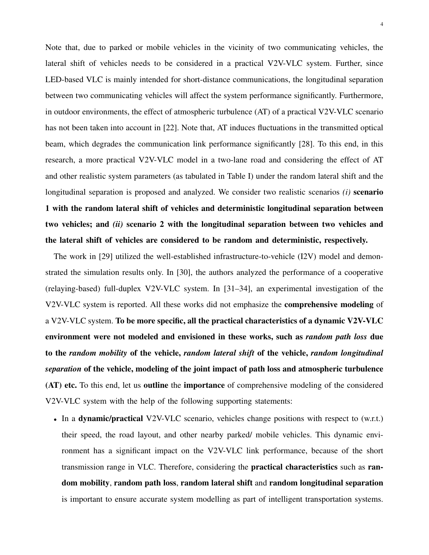Note that, due to parked or mobile vehicles in the vicinity of two communicating vehicles, the lateral shift of vehicles needs to be considered in a practical V2V-VLC system. Further, since LED-based VLC is mainly intended for short-distance communications, the longitudinal separation between two communicating vehicles will affect the system performance significantly. Furthermore, in outdoor environments, the effect of atmospheric turbulence (AT) of a practical V2V-VLC scenario has not been taken into account in [22]. Note that, AT induces fluctuations in the transmitted optical beam, which degrades the communication link performance significantly [28]. To this end, in this research, a more practical V2V-VLC model in a two-lane road and considering the effect of AT and other realistic system parameters (as tabulated in Table I) under the random lateral shift and the longitudinal separation is proposed and analyzed. We consider two realistic scenarios *(i)* scenario 1 with the random lateral shift of vehicles and deterministic longitudinal separation between two vehicles; and *(ii)* scenario 2 with the longitudinal separation between two vehicles and the lateral shift of vehicles are considered to be random and deterministic, respectively.

The work in [29] utilized the well-established infrastructure-to-vehicle (I2V) model and demonstrated the simulation results only. In [30], the authors analyzed the performance of a cooperative (relaying-based) full-duplex V2V-VLC system. In [31–34], an experimental investigation of the V2V-VLC system is reported. All these works did not emphasize the comprehensive modeling of a V2V-VLC system. To be more specific, all the practical characteristics of a dynamic V2V-VLC environment were not modeled and envisioned in these works, such as *random path loss* due to the *random mobility* of the vehicle, *random lateral shift* of the vehicle, *random longitudinal separation* of the vehicle, modeling of the joint impact of path loss and atmospheric turbulence (AT) etc. To this end, let us outline the importance of comprehensive modeling of the considered V2V-VLC system with the help of the following supporting statements:

• In a dynamic/practical V2V-VLC scenario, vehicles change positions with respect to (w.r.t.) their speed, the road layout, and other nearby parked/ mobile vehicles. This dynamic environment has a significant impact on the V2V-VLC link performance, because of the short transmission range in VLC. Therefore, considering the practical characteristics such as random mobility, random path loss, random lateral shift and random longitudinal separation is important to ensure accurate system modelling as part of intelligent transportation systems.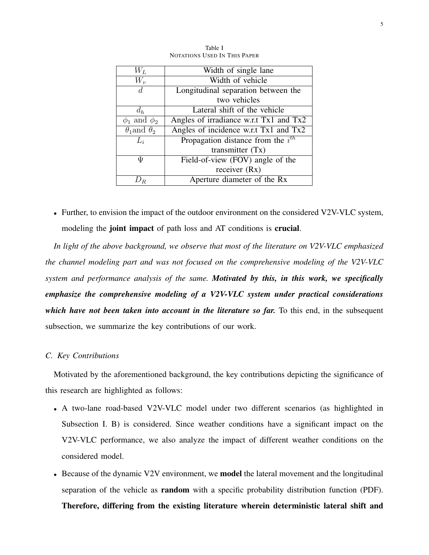| $W_L$                     | Width of single lane                   |  |
|---------------------------|----------------------------------------|--|
| $W_v$                     | Width of vehicle                       |  |
| d.                        | Longitudinal separation between the    |  |
|                           | two vehicles                           |  |
| $d_h$                     | Lateral shift of the vehicle           |  |
| $\phi_1$ and $\phi_2$     | Angles of irradiance w.r.t Tx1 and Tx2 |  |
| $\theta_1$ and $\theta_2$ | Angles of incidence w.r.t Tx1 and Tx2  |  |
| $L_i$                     | Propagation distance from the $i^{th}$ |  |
|                           | transmitter $(Tx)$                     |  |
| Ψ                         | Field-of-view (FOV) angle of the       |  |
|                           | receiver $(Rx)$                        |  |
|                           | Aperture diameter of the Rx            |  |

Table I NOTATIONS USED IN THIS PAPER

• Further, to envision the impact of the outdoor environment on the considered V2V-VLC system, modeling the **joint impact** of path loss and AT conditions is **crucial**.

*In light of the above background, we observe that most of the literature on V2V-VLC emphasized the channel modeling part and was not focused on the comprehensive modeling of the V2V-VLC system and performance analysis of the same. Motivated by this, in this work, we specifically emphasize the comprehensive modeling of a V2V-VLC system under practical considerations which have not been taken into account in the literature so far.* To this end, in the subsequent subsection, we summarize the key contributions of our work.

#### *C. Key Contributions*

Motivated by the aforementioned background, the key contributions depicting the significance of this research are highlighted as follows:

- A two-lane road-based V2V-VLC model under two different scenarios (as highlighted in Subsection I. B) is considered. Since weather conditions have a significant impact on the V2V-VLC performance, we also analyze the impact of different weather conditions on the considered model.
- Because of the dynamic V2V environment, we **model** the lateral movement and the longitudinal separation of the vehicle as random with a specific probability distribution function (PDF). Therefore, differing from the existing literature wherein deterministic lateral shift and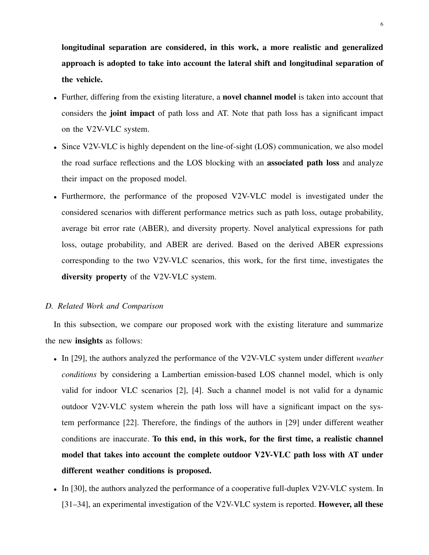longitudinal separation are considered, in this work, a more realistic and generalized approach is adopted to take into account the lateral shift and longitudinal separation of the vehicle.

- Further, differing from the existing literature, a **novel channel model** is taken into account that considers the joint impact of path loss and AT. Note that path loss has a significant impact on the V2V-VLC system.
- Since V2V-VLC is highly dependent on the line-of-sight (LOS) communication, we also model the road surface reflections and the LOS blocking with an associated path loss and analyze their impact on the proposed model.
- Furthermore, the performance of the proposed V2V-VLC model is investigated under the considered scenarios with different performance metrics such as path loss, outage probability, average bit error rate (ABER), and diversity property. Novel analytical expressions for path loss, outage probability, and ABER are derived. Based on the derived ABER expressions corresponding to the two V2V-VLC scenarios, this work, for the first time, investigates the diversity property of the V2V-VLC system.

# *D. Related Work and Comparison*

In this subsection, we compare our proposed work with the existing literature and summarize the new insights as follows:

- In [29], the authors analyzed the performance of the V2V-VLC system under different *weather conditions* by considering a Lambertian emission-based LOS channel model, which is only valid for indoor VLC scenarios [2], [4]. Such a channel model is not valid for a dynamic outdoor V2V-VLC system wherein the path loss will have a significant impact on the system performance [22]. Therefore, the findings of the authors in [29] under different weather conditions are inaccurate. To this end, in this work, for the first time, a realistic channel model that takes into account the complete outdoor V2V-VLC path loss with AT under different weather conditions is proposed.
- In [30], the authors analyzed the performance of a cooperative full-duplex V2V-VLC system. In [31–34], an experimental investigation of the V2V-VLC system is reported. However, all these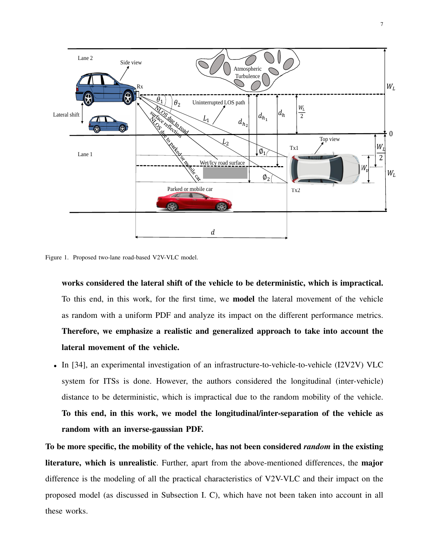

Figure 1. Proposed two-lane road-based V2V-VLC model.

works considered the lateral shift of the vehicle to be deterministic, which is impractical. To this end, in this work, for the first time, we model the lateral movement of the vehicle as random with a uniform PDF and analyze its impact on the different performance metrics. Therefore, we emphasize a realistic and generalized approach to take into account the lateral movement of the vehicle.

• In [34], an experimental investigation of an infrastructure-to-vehicle-to-vehicle (I2V2V) VLC system for ITSs is done. However, the authors considered the longitudinal (inter-vehicle) distance to be deterministic, which is impractical due to the random mobility of the vehicle. To this end, in this work, we model the longitudinal/inter-separation of the vehicle as random with an inverse-gaussian PDF.

To be more specific, the mobility of the vehicle, has not been considered *random* in the existing literature, which is unrealistic. Further, apart from the above-mentioned differences, the major difference is the modeling of all the practical characteristics of V2V-VLC and their impact on the proposed model (as discussed in Subsection I. C), which have not been taken into account in all these works.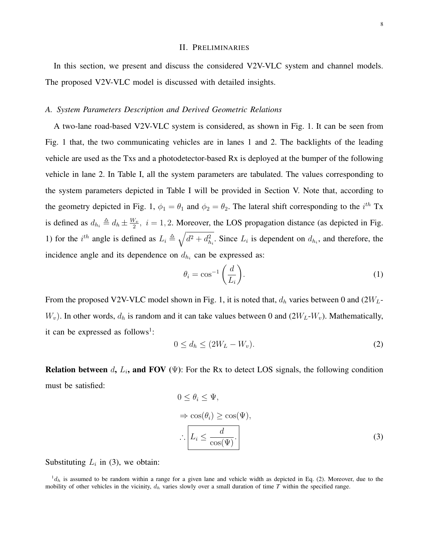#### II. PRELIMINARIES

In this section, we present and discuss the considered V2V-VLC system and channel models. The proposed V2V-VLC model is discussed with detailed insights.

#### *A. System Parameters Description and Derived Geometric Relations*

A two-lane road-based V2V-VLC system is considered, as shown in Fig. 1. It can be seen from Fig. 1 that, the two communicating vehicles are in lanes 1 and 2. The backlights of the leading vehicle are used as the Txs and a photodetector-based Rx is deployed at the bumper of the following vehicle in lane 2. In Table I, all the system parameters are tabulated. The values corresponding to the system parameters depicted in Table I will be provided in Section V. Note that, according to the geometry depicted in Fig. 1,  $\phi_1 = \theta_1$  and  $\phi_2 = \theta_2$ . The lateral shift corresponding to the  $i^{th}$  Tx is defined as  $d_{h_i} \triangleq d_h \pm \frac{W_v}{2}$  $\frac{V_v}{2}$ ,  $i = 1, 2$ . Moreover, the LOS propagation distance (as depicted in Fig. 1) for the i<sup>th</sup> angle is defined as  $L_i \triangleq \sqrt{d^2 + d_{h_i}^2}$ . Since  $L_i$  is dependent on  $d_{h_i}$ , and therefore, the incidence angle and its dependence on  $d_{h_i}$  can be expressed as:

$$
\theta_i = \cos^{-1}\left(\frac{d}{L_i}\right). \tag{1}
$$

From the proposed V2V-VLC model shown in Fig. 1, it is noted that,  $d_h$  varies between 0 and (2 $W_L$ - $W_v$ ). In other words,  $d_h$  is random and it can take values between 0 and  $(2W_L-W_v)$ . Mathematically, it can be expressed as follows<sup>1</sup>:

$$
0 \le d_h \le (2W_L - W_v). \tag{2}
$$

**Relation between**  $d$ ,  $L_i$ , and FOV ( $\Psi$ ): For the Rx to detect LOS signals, the following condition must be satisfied:

$$
0 \leq \theta_i \leq \Psi,
$$
  
\n
$$
\Rightarrow \cos(\theta_i) \geq \cos(\Psi),
$$
  
\n
$$
\therefore \boxed{L_i \leq \frac{d}{\cos(\Psi)}}.
$$
 (3)

Substituting  $L_i$  in (3), we obtain:

 ${}^1d_h$  is assumed to be random within a range for a given lane and vehicle width as depicted in Eq. (2). Moreover, due to the mobility of other vehicles in the vicinity,  $d_h$  varies slowly over a small duration of time *T* within the specified range.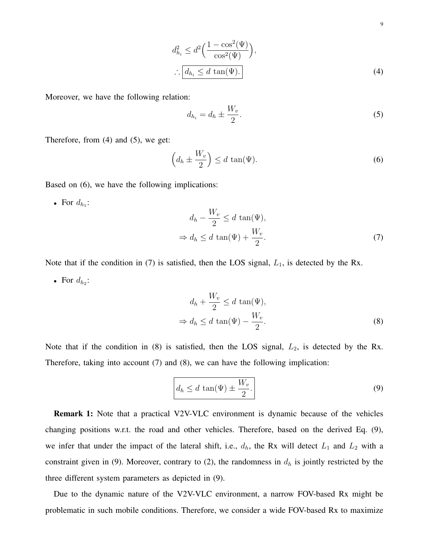$d_{h_i}^2 \leq d^2 \Big( \frac{1 - \cos^2(\Psi)}{\cos^2(\Psi)}\Big)$  $\cos^2(\Psi)$  $\big),$ ∴  $d_{h_i} \leq d \tan(\Psi)$ . (4)

Moreover, we have the following relation:

$$
d_{h_i} = d_h \pm \frac{W_v}{2}.\tag{5}
$$

Therefore, from (4) and (5), we get:

$$
\left(d_h \pm \frac{W_v}{2}\right) \le d \tan(\Psi). \tag{6}
$$

Based on (6), we have the following implications:

• For  $d_{h_1}$ :

$$
d_h - \frac{W_v}{2} \le d \tan(\Psi),
$$
  
\n
$$
\Rightarrow d_h \le d \tan(\Psi) + \frac{W_v}{2}.
$$
 (7)

Note that if the condition in (7) is satisfied, then the LOS signal,  $L_1$ , is detected by the Rx.

• For  $d_{h_2}$ :

$$
d_h + \frac{W_v}{2} \le d \tan(\Psi),
$$
  
\n
$$
\Rightarrow d_h \le d \tan(\Psi) - \frac{W_v}{2}.
$$
 (8)

Note that if the condition in (8) is satisfied, then the LOS signal,  $L_2$ , is detected by the Rx. Therefore, taking into account (7) and (8), we can have the following implication:

$$
d_h \le d \tan(\Psi) \pm \frac{W_v}{2}.
$$
\n(9)

Remark 1: Note that a practical V2V-VLC environment is dynamic because of the vehicles changing positions w.r.t. the road and other vehicles. Therefore, based on the derived Eq. (9), we infer that under the impact of the lateral shift, i.e.,  $d_h$ , the Rx will detect  $L_1$  and  $L_2$  with a constraint given in (9). Moreover, contrary to (2), the randomness in  $d<sub>h</sub>$  is jointly restricted by the three different system parameters as depicted in (9).

Due to the dynamic nature of the V2V-VLC environment, a narrow FOV-based Rx might be problematic in such mobile conditions. Therefore, we consider a wide FOV-based Rx to maximize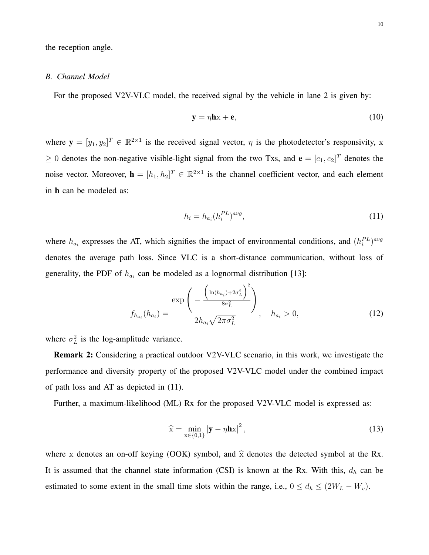the reception angle.

#### *B. Channel Model*

For the proposed V2V-VLC model, the received signal by the vehicle in lane 2 is given by:

$$
y = \eta h x + e, \tag{10}
$$

where  $\mathbf{y} = [y_1, y_2]^T \in \mathbb{R}^{2 \times 1}$  is the received signal vector,  $\eta$  is the photodetector's responsivity, x  $\geq 0$  denotes the non-negative visible-light signal from the two Txs, and  $\mathbf{e} = [e_1, e_2]^T$  denotes the noise vector. Moreover,  $\mathbf{h} = [h_1, h_2]^T \in \mathbb{R}^{2 \times 1}$  is the channel coefficient vector, and each element in h can be modeled as:

$$
h_i = h_{a_i}(h_i^{PL})^{avg},\tag{11}
$$

where  $h_{a_i}$  expresses the AT, which signifies the impact of environmental conditions, and  $(h_i^{PL})^{avg}$ denotes the average path loss. Since VLC is a short-distance communication, without loss of generality, the PDF of  $h_{a_i}$  can be modeled as a lognormal distribution [13]:

$$
f_{h_{a_i}}(h_{a_i}) = \frac{\exp\left(-\frac{\left(\ln(h_{a_i}) + 2\sigma_L^2\right)^2}{8\sigma_L^2}\right)}{2h_{a_i}\sqrt{2\pi\sigma_L^2}}, \quad h_{a_i} > 0,
$$
\n(12)

where  $\sigma_L^2$  is the log-amplitude variance.

Remark 2: Considering a practical outdoor V2V-VLC scenario, in this work, we investigate the performance and diversity property of the proposed V2V-VLC model under the combined impact of path loss and AT as depicted in (11).

Further, a maximum-likelihood (ML) Rx for the proposed V2V-VLC model is expressed as:

$$
\widehat{\mathbf{x}} = \min_{\mathbf{x} \in \{0,1\}} |\mathbf{y} - \eta \mathbf{h} \mathbf{x}|^2, \tag{13}
$$

where x denotes an on-off keying (OOK) symbol, and  $\hat{x}$  denotes the detected symbol at the Rx. It is assumed that the channel state information (CSI) is known at the Rx. With this,  $d_h$  can be estimated to some extent in the small time slots within the range, i.e.,  $0 \le d_h \le (2W_L - W_v)$ .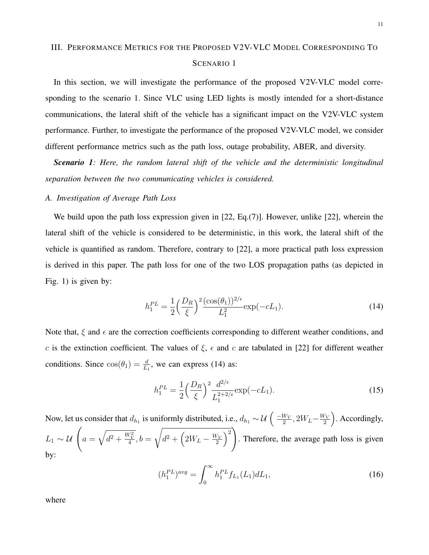# III. PERFORMANCE METRICS FOR THE PROPOSED V2V-VLC MODEL CORRESPONDING TO SCENARIO 1

In this section, we will investigate the performance of the proposed V2V-VLC model corresponding to the scenario 1. Since VLC using LED lights is mostly intended for a short-distance communications, the lateral shift of the vehicle has a significant impact on the V2V-VLC system performance. Further, to investigate the performance of the proposed V2V-VLC model, we consider different performance metrics such as the path loss, outage probability, ABER, and diversity.

*Scenario 1: Here, the random lateral shift of the vehicle and the deterministic longitudinal separation between the two communicating vehicles is considered.*

## *A. Investigation of Average Path Loss*

We build upon the path loss expression given in [22, Eq.(7)]. However, unlike [22], wherein the lateral shift of the vehicle is considered to be deterministic, in this work, the lateral shift of the vehicle is quantified as random. Therefore, contrary to [22], a more practical path loss expression is derived in this paper. The path loss for one of the two LOS propagation paths (as depicted in Fig. 1) is given by:

$$
h_1^{PL} = \frac{1}{2} \left(\frac{D_R}{\xi}\right)^2 \frac{(\cos(\theta_1))^{2/\epsilon}}{L_1^2} \exp(-cL_1).
$$
 (14)

Note that,  $\xi$  and  $\epsilon$  are the correction coefficients corresponding to different weather conditions, and c is the extinction coefficient. The values of  $\xi$ ,  $\epsilon$  and c are tabulated in [22] for different weather conditions. Since  $cos(\theta_1) = \frac{d}{L_1}$ , we can express (14) as:

$$
h_1^{PL} = \frac{1}{2} \left(\frac{D_R}{\xi}\right)^2 \frac{d^{2/\epsilon}}{L_1^{2+2/\epsilon}} \exp(-cL_1).
$$
 (15)

Now, let us consider that  $d_{h_1}$  is uniformly distributed, i.e.,  $d_{h_1} \sim \mathcal{U}\left( \frac{-W_V}{2} \right)$  $\frac{W_V}{2}$ , 2 $W_L - \frac{W_V}{2}$  $\frac{V_V}{2}$ ). Accordingly,  $L_1 \sim \mathcal{U}$   $\left(a = \sqrt{d^2 + \frac{W_V^2}{4}}, b = \right)$  $\sqrt{2}$  $d^2 + \left(2W_L - \frac{W_V}{2}\right)$  $\left(\frac{V_V}{2}\right)^2$ . Therefore, the average path loss is given by:

$$
(h_1^{PL})^{avg} = \int_0^\infty h_1^{PL} f_{L_1}(L_1) dL_1,\tag{16}
$$

where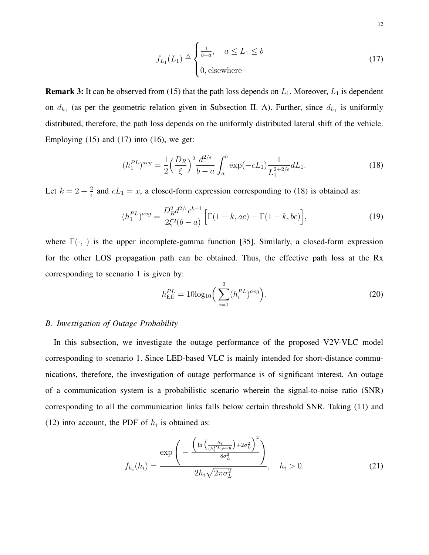$$
f_{L_1}(L_1) \triangleq \begin{cases} \frac{1}{b-a}, & a \le L_1 \le b \\ 0, & \text{elsewhere} \end{cases}
$$
 (17)

**Remark 3:** It can be observed from (15) that the path loss depends on  $L_1$ . Moreover,  $L_1$  is dependent on  $d_{h_1}$  (as per the geometric relation given in Subsection II. A). Further, since  $d_{h_1}$  is uniformly distributed, therefore, the path loss depends on the uniformly distributed lateral shift of the vehicle. Employing  $(15)$  and  $(17)$  into  $(16)$ , we get:

$$
(h_1^{PL})^{avg} = \frac{1}{2} \left(\frac{D_R}{\xi}\right)^2 \frac{d^{2/\epsilon}}{b-a} \int_a^b \exp(-cL_1) \frac{1}{L_1^{2+2/\epsilon}} dL_1.
$$
 (18)

Let  $k = 2 + \frac{2}{\epsilon}$  and  $cL_1 = x$ , a closed-form expression corresponding to (18) is obtained as:

$$
(h_1^{PL})^{avg} = \frac{D_R^2 d^{2/\epsilon} c^{k-1}}{2\xi^2 (b-a)} \Big[ \Gamma(1-k, ac) - \Gamma(1-k, bc) \Big],\tag{19}
$$

where  $\Gamma(\cdot, \cdot)$  is the upper incomplete-gamma function [35]. Similarly, a closed-form expression for the other LOS propagation path can be obtained. Thus, the effective path loss at the Rx corresponding to scenario 1 is given by:

$$
h_{\text{Eff}}^{PL} = 10\log_{10}\left(\sum_{i=1}^{2} (h_i^{PL})^{avg}\right). \tag{20}
$$

#### *B. Investigation of Outage Probability*

In this subsection, we investigate the outage performance of the proposed V2V-VLC model corresponding to scenario 1. Since LED-based VLC is mainly intended for short-distance communications, therefore, the investigation of outage performance is of significant interest. An outage of a communication system is a probabilistic scenario wherein the signal-to-noise ratio (SNR) corresponding to all the communication links falls below certain threshold SNR. Taking (11) and (12) into account, the PDF of  $h_i$  is obtained as:

$$
f_{h_i}(h_i) = \frac{\exp\left(-\frac{\left(\ln\left(\frac{h_i}{(h_i^{PL})^{\text{avg}}}\right) + 2\sigma_L^2\right)^2}{8\sigma_L^2}\right)}{2h_i\sqrt{2\pi\sigma_L^2}}, \quad h_i > 0. \tag{21}
$$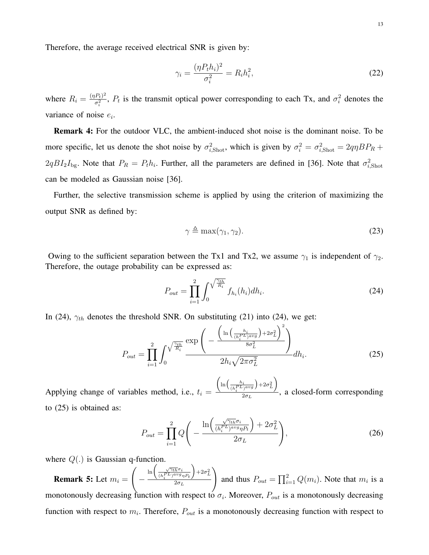Therefore, the average received electrical SNR is given by:

$$
\gamma_i = \frac{(\eta P_t h_i)^2}{\sigma_i^2} = R_i h_i^2,\tag{22}
$$

where  $R_i = \frac{(\eta P_t)^2}{\sigma^2}$  $\frac{(P_t)^2}{\sigma_i^2}$ ,  $P_t$  is the transmit optical power corresponding to each Tx, and  $\sigma_i^2$  denotes the variance of noise  $e_i$ .

Remark 4: For the outdoor VLC, the ambient-induced shot noise is the dominant noise. To be more specific, let us denote the shot noise by  $\sigma_{i, \text{shot}}^2$ , which is given by  $\sigma_i^2 = \sigma_{i, \text{shot}}^2 = 2q\eta B P_R +$  $2qBI_2I_{\text{bg}}$ . Note that  $P_R = P_t h_i$ . Further, all the parameters are defined in [36]. Note that  $\sigma_{i,\text{shot}}^2$ can be modeled as Gaussian noise [36].

Further, the selective transmission scheme is applied by using the criterion of maximizing the output SNR as defined by:

$$
\gamma \triangleq \max(\gamma_1, \gamma_2). \tag{23}
$$

Owing to the sufficient separation between the Tx1 and Tx2, we assume  $\gamma_1$  is independent of  $\gamma_2$ . Therefore, the outage probability can be expressed as:

$$
P_{out} = \prod_{i=1}^{2} \int_{0}^{\sqrt{\frac{\gamma_{th}}{R_i}}} f_{h_i}(h_i) dh_i.
$$
 (24)

In (24),  $\gamma_{th}$  denotes the threshold SNR. On substituting (21) into (24), we get:

$$
P_{out} = \prod_{i=1}^{2} \int_0^{\sqrt{\frac{\gamma_{th}}{R_i}}} \frac{\exp\left(-\frac{\left(\ln\left(\frac{h_i}{(h_i^P L)^{avg}}\right) + 2\sigma_L^2\right)^2}{8\sigma_L^2}\right)}{2h_i\sqrt{2\pi\sigma_L^2}} dh_i.
$$
 (25)

Applying change of variables method, i.e.,  $t_i =$  $\left(\ln\left(\frac{h_i}{(h_i^{PL})^{avg}}\right) + 2\sigma_L^2\right)$  $\frac{2\sigma_L}{2\sigma_L}$ , a closed-form corresponding to (25) is obtained as:

$$
P_{out} = \prod_{i=1}^{2} Q\left(-\frac{\ln\left(\frac{\sqrt{\gamma_{th}}\sigma_i}{(h_i^{PL})^{avg}\eta P_t}\right) + 2\sigma_L^2}{2\sigma_L}\right),\tag{26}
$$

where  $Q(.)$  is Gaussian q-function.

**Remark 5:** Let  $m_i =$  $\sqrt{ }$ −  $\ln \left( \frac{\sqrt{\gamma_{th}}\sigma_i}{(h_i^PL)^{avg}\eta P_t} \right.$  $\Big) + 2\sigma_L^2$  $2\sigma_L$  $\setminus$ and thus  $P_{out} = \prod_{i=1}^{2} Q(m_i)$ . Note that  $m_i$  is a monotonously decreasing function with respect to  $\sigma_i$ . Moreover,  $P_{out}$  is a monotonously decreasing function with respect to  $m_i$ . Therefore,  $P_{out}$  is a monotonously decreasing function with respect to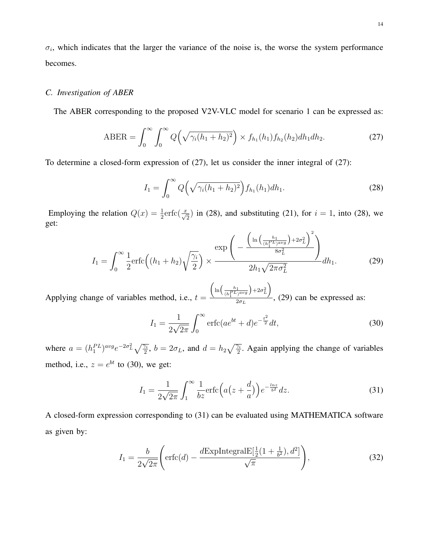$\sigma_i$ , which indicates that the larger the variance of the noise is, the worse the system performance becomes.

## *C. Investigation of ABER*

The ABER corresponding to the proposed V2V-VLC model for scenario 1 can be expressed as:

$$
ABER = \int_0^\infty \int_0^\infty Q\left(\sqrt{\gamma_i(h_1 + h_2)^2}\right) \times f_{h_1}(h_1) f_{h_2}(h_2) dh_1 dh_2.
$$
 (27)

To determine a closed-form expression of (27), let us consider the inner integral of (27):

$$
I_1 = \int_0^\infty Q\left(\sqrt{\gamma_i (h_1 + h_2)^2}\right) f_{h_1}(h_1) dh_1.
$$
 (28)

Employing the relation  $Q(x) = \frac{1}{2} \text{erfc}(\frac{x}{\sqrt{2}})$  in (28), and substituting (21), for  $i = 1$ , into (28), we get:

$$
I_1 = \int_0^\infty \frac{1}{2} \text{erfc}\left((h_1 + h_2)\sqrt{\frac{\gamma_i}{2}}\right) \times \frac{\exp\left(-\frac{\left(\ln\left(\frac{h_1}{(h_1^{PL})^{avg}}\right) + 2\sigma_L^2\right)^2}{8\sigma_L^2}\right)}{2h_1\sqrt{2\pi\sigma_L^2}} dh_1.
$$
 (29)

Applying change of variables method, i.e.,  $t =$  $\left(\ln\left(\frac{h_1}{(h_1^{PL})^{avg}}\right) + 2\sigma_L^2\right)$  $\frac{2\sigma_L}{2\sigma_L}$ , (29) can be expressed as:

$$
I_1 = \frac{1}{2\sqrt{2\pi}} \int_0^\infty \text{erfc}(ae^{bt} + d)e^{-\frac{t^2}{2}}dt,
$$
\n(30)

where  $a = (h_1^{PL})^{avg}e^{-2\sigma_L^2}\sqrt{\frac{\gamma_i}{2}}$ ,  $b = 2\sigma_L$ , and  $d = h_2\sqrt{\frac{\gamma_i}{2}}$ . Again applying the change of variables method, i.e.,  $z = e^{bt}$  to (30), we get:

$$
I_1 = \frac{1}{2\sqrt{2\pi}} \int_1^\infty \frac{1}{bz} \text{erfc}\left(a\left(z + \frac{d}{a}\right)\right) e^{-\frac{ln z}{b^2}} dz. \tag{31}
$$

A closed-form expression corresponding to (31) can be evaluated using MATHEMATICA software as given by:

$$
I_1 = \frac{b}{2\sqrt{2\pi}} \left( \text{erfc}(d) - \frac{d\text{ExplntegralE}[\frac{1}{2}(1 + \frac{1}{b^2}), d^2]}{\sqrt{\pi}} \right),\tag{32}
$$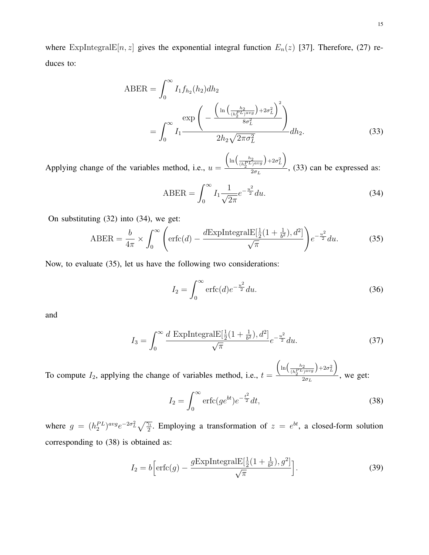15

where ExpIntegralE $[n, z]$  gives the exponential integral function  $E_n(z)$  [37]. Therefore, (27) reduces to:

$$
ABER = \int_0^\infty I_1 f_{h_2}(h_2) dh_2
$$
  
= 
$$
\int_0^\infty I_1 \frac{\exp\left(-\frac{\left(\ln\left(\frac{h_2}{(h_2^{PL})^{avg}}\right) + 2\sigma_L^2\right)^2}{8\sigma_L^2}\right)}{2h_2 \sqrt{2\pi \sigma_L^2}} dh_2.
$$
 (33)

Applying change of the variables method, i.e.,  $u =$  $\left(\ln\Big(\frac{h_2}{(h_2^{PL})^{avg}}\Big) + 2\sigma_L^2\right)$  $\frac{1}{2\sigma_L}$ , (33) can be expressed as:

$$
ABER = \int_0^\infty I_1 \frac{1}{\sqrt{2\pi}} e^{-\frac{u^2}{2}} du.
$$
 (34)

On substituting (32) into (34), we get:

$$
ABER = \frac{b}{4\pi} \times \int_0^\infty \left( \text{erfc}(d) - \frac{d\text{ExplntegralE}[\frac{1}{2}(1 + \frac{1}{b^2}), d^2]}{\sqrt{\pi}} \right) e^{-\frac{u^2}{2}} du. \tag{35}
$$

Now, to evaluate (35), let us have the following two considerations:

$$
I_2 = \int_0^\infty \text{erfc}(d) e^{-\frac{u^2}{2}} du.
$$
 (36)

and

$$
I_3 = \int_0^\infty \frac{d \, \text{ExplntegralE}[\frac{1}{2}(1 + \frac{1}{b^2}), d^2]}{\sqrt{\pi}} e^{-\frac{u^2}{2}} du. \tag{37}
$$

To compute  $I_2$ , applying the change of variables method, i.e.,  $t =$  $\left(\ln\left(\frac{h_2}{(h_2^{PL})^{avg}}\right) + 2\sigma_L^2\right)$  $\frac{2\sigma_L}{2\sigma_L}$ , we get:

$$
I_2 = \int_0^\infty \operatorname{erfc}(ge^{bt})e^{-\frac{t^2}{2}}dt,\tag{38}
$$

where  $g = (h_2^{PL})^{avg} e^{-2\sigma_L^2} \sqrt{\frac{\gamma_i}{2}}$ . Employing a transformation of  $z = e^{bt}$ , a closed-form solution corresponding to (38) is obtained as:

$$
I_2 = b \left[ \operatorname{erfc}(g) - \frac{g \operatorname{ExpIntegrals}[\frac{1}{2}(1 + \frac{1}{b^2}), g^2]}{\sqrt{\pi}} \right].
$$
 (39)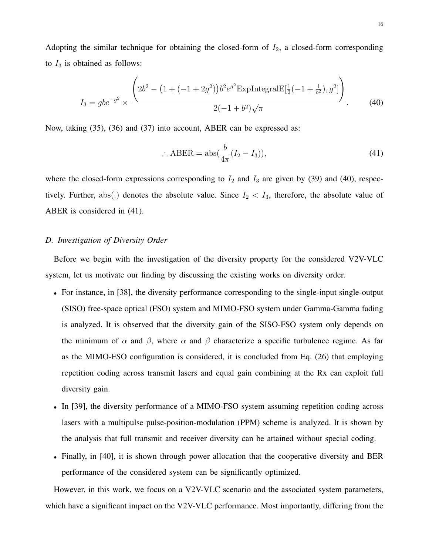Adopting the similar technique for obtaining the closed-form of  $I_2$ , a closed-form corresponding to  $I_3$  is obtained as follows:

$$
I_3 = gbe^{-g^2} \times \frac{\left(2b^2 - \left(1 + (-1 + 2g^2)\right)b^2 e^{g^2} \text{ExpIntegralE}[\frac{1}{2}(-1 + \frac{1}{b^2}), g^2]\right)}{2(-1 + b^2)\sqrt{\pi}}.\tag{40}
$$

Now, taking (35), (36) and (37) into account, ABER can be expressed as:

$$
\therefore \text{ABER} = \text{abs}(\frac{b}{4\pi}(I_2 - I_3)),\tag{41}
$$

where the closed-form expressions corresponding to  $I_2$  and  $I_3$  are given by (39) and (40), respectively. Further, abs(.) denotes the absolute value. Since  $I_2 < I_3$ , therefore, the absolute value of ABER is considered in (41).

## *D. Investigation of Diversity Order*

Before we begin with the investigation of the diversity property for the considered V2V-VLC system, let us motivate our finding by discussing the existing works on diversity order.

- For instance, in [38], the diversity performance corresponding to the single-input single-output (SISO) free-space optical (FSO) system and MIMO-FSO system under Gamma-Gamma fading is analyzed. It is observed that the diversity gain of the SISO-FSO system only depends on the minimum of  $\alpha$  and  $\beta$ , where  $\alpha$  and  $\beta$  characterize a specific turbulence regime. As far as the MIMO-FSO configuration is considered, it is concluded from Eq. (26) that employing repetition coding across transmit lasers and equal gain combining at the Rx can exploit full diversity gain.
- In [39], the diversity performance of a MIMO-FSO system assuming repetition coding across lasers with a multipulse pulse-position-modulation (PPM) scheme is analyzed. It is shown by the analysis that full transmit and receiver diversity can be attained without special coding.
- Finally, in [40], it is shown through power allocation that the cooperative diversity and BER performance of the considered system can be significantly optimized.

However, in this work, we focus on a V2V-VLC scenario and the associated system parameters, which have a significant impact on the V2V-VLC performance. Most importantly, differing from the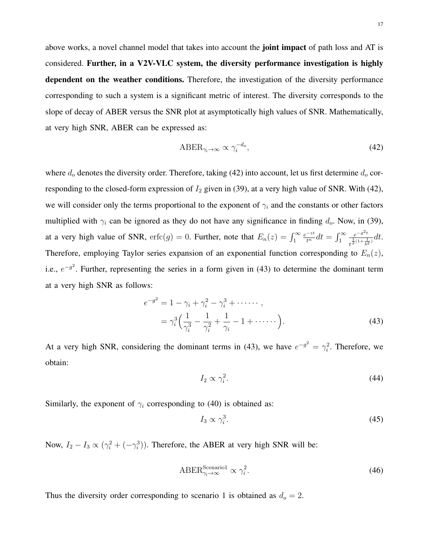above works, a novel channel model that takes into account the **joint impact** of path loss and AT is considered. Further, in a V2V-VLC system, the diversity performance investigation is highly dependent on the weather conditions. Therefore, the investigation of the diversity performance corresponding to such a system is a significant metric of interest. The diversity corresponds to the slope of decay of ABER versus the SNR plot at asymptotically high values of SNR. Mathematically, at very high SNR, ABER can be expressed as:

$$
ABER_{\gamma_i \to \infty} \propto \gamma_i^{-d_o},\tag{42}
$$

where  $d_0$  denotes the diversity order. Therefore, taking (42) into account, let us first determine  $d_0$  corresponding to the closed-form expression of  $I_2$  given in (39), at a very high value of SNR. With (42), we will consider only the terms proportional to the exponent of  $\gamma_i$  and the constants or other factors multiplied with  $\gamma_i$  can be ignored as they do not have any significance in finding  $d_o$ . Now, in (39), at a very high value of SNR,  $erfc(g) = 0$ . Further, note that  $E_n(z) = \int_1^\infty$  $\frac{e^{-zt}}{t^n}dt = \int_1^\infty$  $e^{-g^2t}$  $\frac{e^{-y}}{t^{\frac{1}{2}(1+\frac{1}{b^2})}}dt.$ Therefore, employing Taylor series expansion of an exponential function corresponding to  $E_n(z)$ , i.e.,  $e^{-g^2}$ . Further, representing the series in a form given in (43) to determine the dominant term at a very high SNR as follows:

$$
e^{-g^2} = 1 - \gamma_i + \gamma_i^2 - \gamma_i^3 + \cdots ,
$$
  
=  $\gamma_i^3 \left( \frac{1}{\gamma_i^3} - \frac{1}{\gamma_i^2} + \frac{1}{\gamma_i} - 1 + \cdots \right).$  (43)

At a very high SNR, considering the dominant terms in (43), we have  $e^{-g^2} = \gamma_i^2$ . Therefore, we obtain:

$$
I_2 \propto \gamma_i^2. \tag{44}
$$

Similarly, the exponent of  $\gamma_i$  corresponding to (40) is obtained as:

$$
I_3 \propto \gamma_i^3. \tag{45}
$$

Now,  $I_2 - I_3 \propto (\gamma_i^2 + (-\gamma_i^3))$ . Therefore, the ABER at very high SNR will be:

$$
ABER_{\gamma_i \to \infty}^{Scenario1} \propto \gamma_i^2. \tag{46}
$$

Thus the diversity order corresponding to scenario 1 is obtained as  $d_o = 2$ .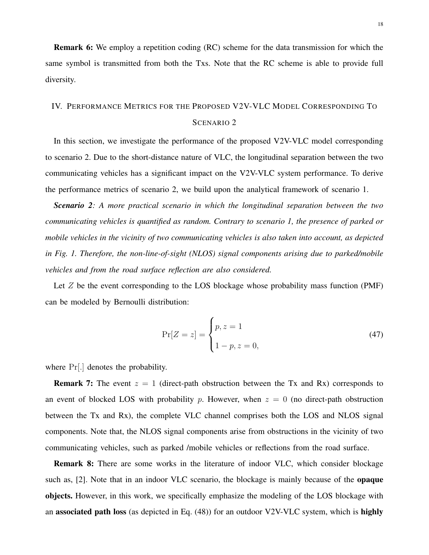Remark 6: We employ a repetition coding (RC) scheme for the data transmission for which the same symbol is transmitted from both the Txs. Note that the RC scheme is able to provide full diversity.

# IV. PERFORMANCE METRICS FOR THE PROPOSED V2V-VLC MODEL CORRESPONDING TO SCENARIO 2

In this section, we investigate the performance of the proposed V2V-VLC model corresponding to scenario 2. Due to the short-distance nature of VLC, the longitudinal separation between the two communicating vehicles has a significant impact on the V2V-VLC system performance. To derive the performance metrics of scenario 2, we build upon the analytical framework of scenario 1.

*Scenario 2: A more practical scenario in which the longitudinal separation between the two communicating vehicles is quantified as random. Contrary to scenario 1, the presence of parked or mobile vehicles in the vicinity of two communicating vehicles is also taken into account, as depicted in Fig. 1. Therefore, the non-line-of-sight (NLOS) signal components arising due to parked/mobile vehicles and from the road surface reflection are also considered.*

Let  $Z$  be the event corresponding to the LOS blockage whose probability mass function (PMF) can be modeled by Bernoulli distribution:

$$
\Pr[Z = z] = \begin{cases} p, z = 1\\ 1 - p, z = 0, \end{cases}
$$
\n(47)

where Pr[.] denotes the probability.

**Remark 7:** The event  $z = 1$  (direct-path obstruction between the Tx and Rx) corresponds to an event of blocked LOS with probability p. However, when  $z = 0$  (no direct-path obstruction between the Tx and Rx), the complete VLC channel comprises both the LOS and NLOS signal components. Note that, the NLOS signal components arise from obstructions in the vicinity of two communicating vehicles, such as parked /mobile vehicles or reflections from the road surface.

Remark 8: There are some works in the literature of indoor VLC, which consider blockage such as, [2]. Note that in an indoor VLC scenario, the blockage is mainly because of the **opaque** objects. However, in this work, we specifically emphasize the modeling of the LOS blockage with an **associated path loss** (as depicted in Eq.  $(48)$ ) for an outdoor V2V-VLC system, which is **highly**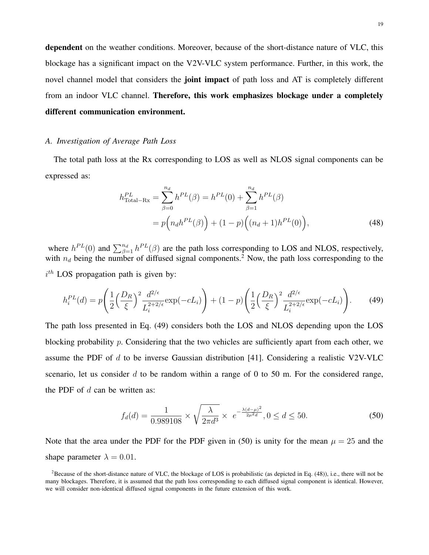dependent on the weather conditions. Moreover, because of the short-distance nature of VLC, this blockage has a significant impact on the V2V-VLC system performance. Further, in this work, the novel channel model that considers the **joint impact** of path loss and AT is completely different from an indoor VLC channel. Therefore, this work emphasizes blockage under a completely different communication environment.

#### *A. Investigation of Average Path Loss*

The total path loss at the Rx corresponding to LOS as well as NLOS signal components can be expressed as:

$$
h_{\text{Total-Rx}}^{PL} = \sum_{\beta=0}^{n_d} h^{PL}(\beta) = h^{PL}(0) + \sum_{\beta=1}^{n_d} h^{PL}(\beta)
$$
  
=  $p(n_d h^{PL}(\beta)) + (1 - p) ((n_d + 1)h^{PL}(0)),$  (48)

where  $h^{PL}(0)$  and  $\sum_{\beta=1}^{n_d} h^{PL}(\beta)$  are the path loss corresponding to LOS and NLOS, respectively, with  $n_d$  being the number of diffused signal components.<sup>2</sup> Now, the path loss corresponding to the  $i<sup>th</sup>$  LOS propagation path is given by:

$$
h_i^{PL}(d) = p\left(\frac{1}{2}\left(\frac{D_R}{\xi}\right)^2 \frac{d^{2/\epsilon}}{L_i^{2+2/\epsilon}} \exp(-cL_i)\right) + (1-p)\left(\frac{1}{2}\left(\frac{D_R}{\xi}\right)^2 \frac{d^{2/\epsilon}}{L_i^{2+2/\epsilon}} \exp(-cL_i)\right). \tag{49}
$$

The path loss presented in Eq. (49) considers both the LOS and NLOS depending upon the LOS blocking probability p. Considering that the two vehicles are sufficiently apart from each other, we assume the PDF of  $d$  to be inverse Gaussian distribution [41]. Considering a realistic V2V-VLC scenario, let us consider  $d$  to be random within a range of 0 to 50 m. For the considered range, the PDF of  $d$  can be written as:

$$
f_d(d) = \frac{1}{0.989108} \times \sqrt{\frac{\lambda}{2\pi d^3}} \times e^{-\frac{\lambda(d-\mu)^2}{2\mu^2 d}}, 0 \le d \le 50.
$$
 (50)

Note that the area under the PDF for the PDF given in (50) is unity for the mean  $\mu = 25$  and the shape parameter  $\lambda = 0.01$ .

<sup>&</sup>lt;sup>2</sup>Because of the short-distance nature of VLC, the blockage of LOS is probabilistic (as depicted in Eq.  $(48)$ ), i.e., there will not be many blockages. Therefore, it is assumed that the path loss corresponding to each diffused signal component is identical. However, we will consider non-identical diffused signal components in the future extension of this work.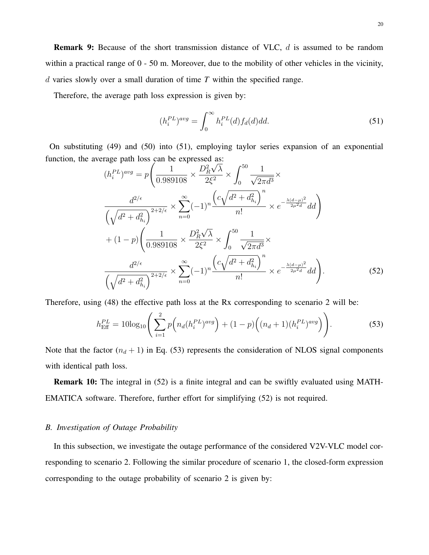Remark 9: Because of the short transmission distance of VLC, d is assumed to be random within a practical range of 0 - 50 m. Moreover, due to the mobility of other vehicles in the vicinity, d varies slowly over a small duration of time *T* within the specified range.

Therefore, the average path loss expression is given by:

$$
(h_i^{PL})^{avg} = \int_0^\infty h_i^{PL}(d) f_d(d) dd.
$$
\n(51)

On substituting (49) and (50) into (51), employing taylor series expansion of an exponential function, the average path loss can be expressed as:

$$
(h_i^{PL})^{avg} = p \left( \frac{1}{0.989108} \times \frac{D_R^2 \sqrt{\lambda}}{2\xi^2} \times \int_0^{50} \frac{1}{\sqrt{2\pi d^3}} \times \frac{d^{2/\epsilon}}{\sqrt{\lambda^2 d^3}} \right)
$$
  

$$
\frac{d^{2/\epsilon}}{\sqrt{d^2 + d_{h_i}^2}} \times \sum_{n=0}^{\infty} (-1)^n \frac{\left( c\sqrt{d^2 + d_{h_i}^2} \right)^n}{n!} \times e^{-\frac{\lambda(d-\mu)^2}{2\mu^2 d}} dd
$$
  
+ 
$$
(1-p) \left( \frac{1}{0.989108} \times \frac{D_R^2 \sqrt{\lambda}}{2\xi^2} \times \int_0^{50} \frac{1}{\sqrt{2\pi d^3}} \times \frac{d^{2/\epsilon}}{\sqrt{d^2 + d_{h_i}^2}} \times e^{-\frac{\lambda(d-\mu)^2}{2\mu^2 d}} dd \right).
$$
  

$$
\frac{d^{2/\epsilon}}{\sqrt{d^2 + d_{h_i}^2}} \times \sum_{n=0}^{\infty} (-1)^n \frac{\left( c\sqrt{d^2 + d_{h_i}^2} \right)^n}{n!} \times e^{-\frac{\lambda(d-\mu)^2}{2\mu^2 d}} dd \right).
$$
 (52)

Therefore, using (48) the effective path loss at the Rx corresponding to scenario 2 will be:

$$
h_{\text{Eff}}^{PL} = 10\log_{10}\left(\sum_{i=1}^{2} p\left(n_d(h_i^{PL})^{avg}\right) + (1-p)\left((n_d+1)(h_i^{PL})^{avg}\right)\right). \tag{53}
$$

Note that the factor  $(n_d + 1)$  in Eq. (53) represents the consideration of NLOS signal components with identical path loss.

Remark 10: The integral in (52) is a finite integral and can be swiftly evaluated using MATH-EMATICA software. Therefore, further effort for simplifying (52) is not required.

#### *B. Investigation of Outage Probability*

In this subsection, we investigate the outage performance of the considered V2V-VLC model corresponding to scenario 2. Following the similar procedure of scenario 1, the closed-form expression corresponding to the outage probability of scenario 2 is given by: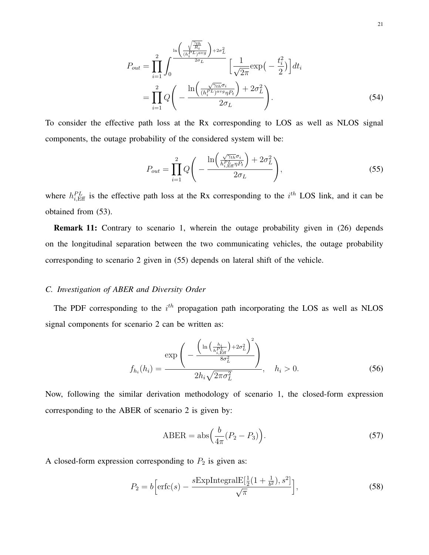$$
P_{out} = \prod_{i=1}^{2} \int_{0}^{\ln\left(\frac{\sqrt{\frac{\gamma_{th}}{R_i}}}{(h_i^{PL})^{\text{avg}}}\right) + 2\sigma_L^2} \left[\frac{1}{\sqrt{2\pi}} \exp\left(-\frac{t_i^2}{2}\right)\right] dt_i
$$

$$
= \prod_{i=1}^{2} Q\left(-\frac{\ln\left(\frac{\sqrt{\gamma_{th}}\sigma_i}{(h_i^{PL})^{\text{avg}}\eta P_t}\right) + 2\sigma_L^2}{2\sigma_L}\right).
$$
(54)

To consider the effective path loss at the Rx corresponding to LOS as well as NLOS signal components, the outage probability of the considered system will be:

$$
P_{out} = \prod_{i=1}^{2} Q\left(-\frac{\ln\left(\frac{\sqrt{\gamma_{th}}\sigma_i}{h_{i, \text{Eff}}^{PL} \eta_{i}}\right) + 2\sigma_L^2}{2\sigma_L}\right),\tag{55}
$$

where  $h_{i, \text{Eff}}^{PL}$  is the effective path loss at the Rx corresponding to the  $i^{th}$  LOS link, and it can be obtained from (53).

Remark 11: Contrary to scenario 1, wherein the outage probability given in (26) depends on the longitudinal separation between the two communicating vehicles, the outage probability corresponding to scenario 2 given in (55) depends on lateral shift of the vehicle.

# *C. Investigation of ABER and Diversity Order*

The PDF corresponding to the  $i<sup>th</sup>$  propagation path incorporating the LOS as well as NLOS signal components for scenario 2 can be written as:

$$
f_{h_i}(h_i) = \frac{\exp\left(-\frac{\left(\ln\left(\frac{h_i}{h_{i, \text{Eff}}^D}\right) + 2\sigma_L^2\right)^2}{8\sigma_L^2}\right)}{2h_i\sqrt{2\pi\sigma_L^2}}, \quad h_i > 0. \tag{56}
$$

Now, following the similar derivation methodology of scenario 1, the closed-form expression corresponding to the ABER of scenario 2 is given by:

$$
ABER = abs\left(\frac{b}{4\pi}(P_2 - P_3)\right).
$$
\n(57)

A closed-form expression corresponding to  $P_2$  is given as:

$$
P_2 = b \left[ \text{erfc}(s) - \frac{s \text{ExplntegralE}[\frac{1}{2}(1 + \frac{1}{b^2}), s^2]}{\sqrt{\pi}} \right],\tag{58}
$$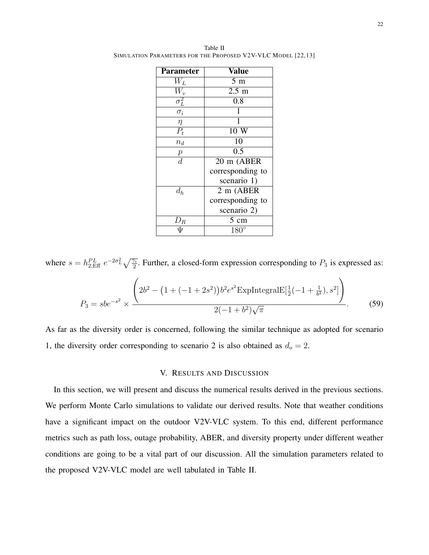| <b>Parameter</b>                      | $\overline{\text{Value}}$ |
|---------------------------------------|---------------------------|
| $W_{L}$                               | $5 \text{ m}$             |
| $W_v$                                 | $2.5 \text{ m}$           |
| $\overline{\sigma^2_{\underline{L}}}$ | 0.8                       |
| $\sigma_i$                            |                           |
| $\eta$                                | 1                         |
| $P_t$                                 | 10 W                      |
| $n_d$                                 | 10                        |
| $\boldsymbol{p}$                      | 0.5                       |
| $\overline{d}$                        | 20 m (ABER                |
|                                       | corresponding to          |
|                                       | scenario 1)               |
| $d_h$                                 | 2 m (ABER                 |
|                                       | corresponding to          |
|                                       | scenario 2)               |
| $\,\,\nu_R$                           | $5 \text{ cm}$            |
|                                       | $180^\circ$               |

Table II SIMULATION PARAMETERS FOR THE PROPOSED V2V-VLC MODEL [22,13]

where  $s = h_{2,\text{Eff}}^{PL} e^{-2\sigma_L^2} \sqrt{\frac{\gamma_i}{2}}$ . Further, a closed-form expression corresponding to  $P_3$  is expressed as:  $P_3 = sbe^{-s^2} \times$  $\sqrt{ }$  $2b^2 - (1 + (-1 + 2s^2))b^2 e^{s^2}$ ExpIntegralE $[\frac{1}{2}(-1 + \frac{1}{b^2}), s^2]$  $\setminus$  $2(-1+b^2)$ √  $\overline{\pi}$ . (59)

As far as the diversity order is concerned, following the similar technique as adopted for scenario 1, the diversity order corresponding to scenario 2 is also obtained as  $d_0 = 2$ .

#### V. RESULTS AND DISCUSSION

In this section, we will present and discuss the numerical results derived in the previous sections. We perform Monte Carlo simulations to validate our derived results. Note that weather conditions have a significant impact on the outdoor V2V-VLC system. To this end, different performance metrics such as path loss, outage probability, ABER, and diversity property under different weather conditions are going to be a vital part of our discussion. All the simulation parameters related to the proposed V2V-VLC model are well tabulated in Table II.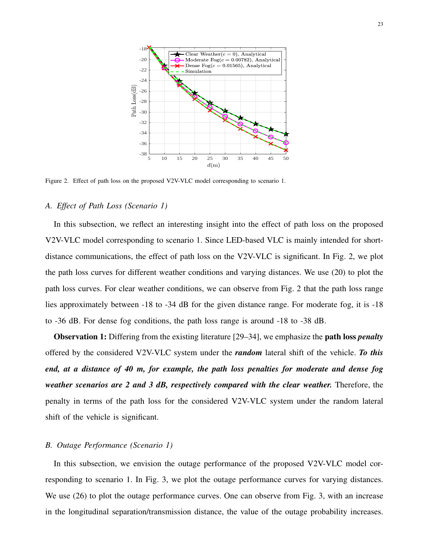

Figure 2. Effect of path loss on the proposed V2V-VLC model corresponding to scenario 1.

#### *A. Effect of Path Loss (Scenario 1)*

In this subsection, we reflect an interesting insight into the effect of path loss on the proposed V2V-VLC model corresponding to scenario 1. Since LED-based VLC is mainly intended for shortdistance communications, the effect of path loss on the V2V-VLC is significant. In Fig. 2, we plot the path loss curves for different weather conditions and varying distances. We use (20) to plot the path loss curves. For clear weather conditions, we can observe from Fig. 2 that the path loss range lies approximately between -18 to -34 dB for the given distance range. For moderate fog, it is -18 to -36 dB. For dense fog conditions, the path loss range is around -18 to -38 dB.

Observation 1: Differing from the existing literature [29–34], we emphasize the path loss *penalty* offered by the considered V2V-VLC system under the *random* lateral shift of the vehicle. *To this end, at a distance of 40 m, for example, the path loss penalties for moderate and dense fog weather scenarios are 2 and 3 dB, respectively compared with the clear weather.* Therefore, the penalty in terms of the path loss for the considered V2V-VLC system under the random lateral shift of the vehicle is significant.

#### *B. Outage Performance (Scenario 1)*

In this subsection, we envision the outage performance of the proposed V2V-VLC model corresponding to scenario 1. In Fig. 3, we plot the outage performance curves for varying distances. We use (26) to plot the outage performance curves. One can observe from Fig. 3, with an increase in the longitudinal separation/transmission distance, the value of the outage probability increases.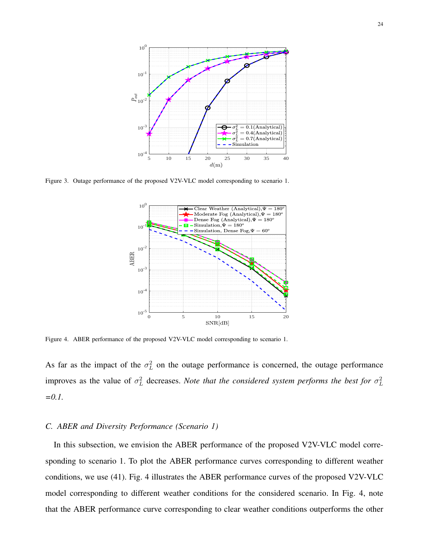

Figure 3. Outage performance of the proposed V2V-VLC model corresponding to scenario 1.



Figure 4. ABER performance of the proposed V2V-VLC model corresponding to scenario 1.

As far as the impact of the  $\sigma_L^2$  on the outage performance is concerned, the outage performance improves as the value of  $\sigma_L^2$  decreases. *Note that the considered system performs the best for*  $\sigma_L^2$ *=0.1.*

#### *C. ABER and Diversity Performance (Scenario 1)*

In this subsection, we envision the ABER performance of the proposed V2V-VLC model corresponding to scenario 1. To plot the ABER performance curves corresponding to different weather conditions, we use (41). Fig. 4 illustrates the ABER performance curves of the proposed V2V-VLC model corresponding to different weather conditions for the considered scenario. In Fig. 4, note that the ABER performance curve corresponding to clear weather conditions outperforms the other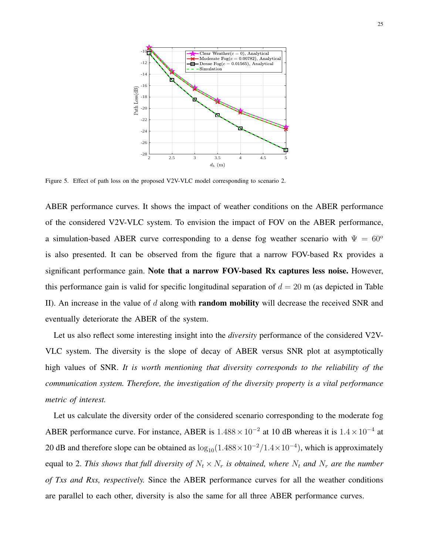

Figure 5. Effect of path loss on the proposed V2V-VLC model corresponding to scenario 2.

ABER performance curves. It shows the impact of weather conditions on the ABER performance of the considered V2V-VLC system. To envision the impact of FOV on the ABER performance, a simulation-based ABER curve corresponding to a dense fog weather scenario with  $\Psi = 60^{\circ}$ is also presented. It can be observed from the figure that a narrow FOV-based Rx provides a significant performance gain. Note that a narrow FOV-based Rx captures less noise. However, this performance gain is valid for specific longitudinal separation of  $d = 20$  m (as depicted in Table II). An increase in the value of  $d$  along with **random mobility** will decrease the received SNR and eventually deteriorate the ABER of the system.

Let us also reflect some interesting insight into the *diversity* performance of the considered V2V-VLC system. The diversity is the slope of decay of ABER versus SNR plot at asymptotically high values of SNR. *It is worth mentioning that diversity corresponds to the reliability of the communication system. Therefore, the investigation of the diversity property is a vital performance metric of interest.*

Let us calculate the diversity order of the considered scenario corresponding to the moderate fog ABER performance curve. For instance, ABER is  $1.488 \times 10^{-2}$  at 10 dB whereas it is  $1.4 \times 10^{-4}$  at 20 dB and therefore slope can be obtained as  $\log_{10}(1.488 \times 10^{-2}/1.4 \times 10^{-4})$ , which is approximately equal to 2. This shows that full diversity of  $N_t \times N_r$  is obtained, where  $N_t$  and  $N_r$  are the number *of Txs and Rxs, respectively.* Since the ABER performance curves for all the weather conditions are parallel to each other, diversity is also the same for all three ABER performance curves.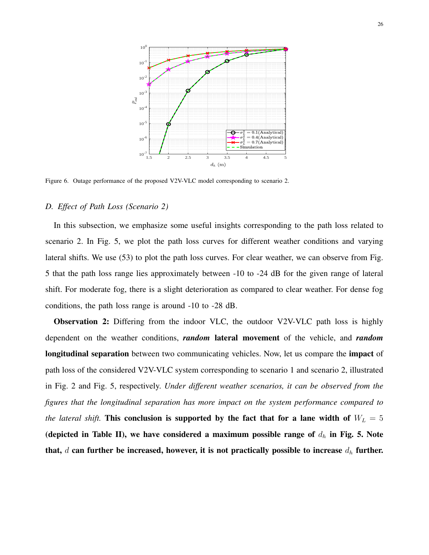

Figure 6. Outage performance of the proposed V2V-VLC model corresponding to scenario 2.

#### *D. Effect of Path Loss (Scenario 2)*

In this subsection, we emphasize some useful insights corresponding to the path loss related to scenario 2. In Fig. 5, we plot the path loss curves for different weather conditions and varying lateral shifts. We use (53) to plot the path loss curves. For clear weather, we can observe from Fig. 5 that the path loss range lies approximately between -10 to -24 dB for the given range of lateral shift. For moderate fog, there is a slight deterioration as compared to clear weather. For dense fog conditions, the path loss range is around -10 to -28 dB.

Observation 2: Differing from the indoor VLC, the outdoor V2V-VLC path loss is highly dependent on the weather conditions, *random* lateral movement of the vehicle, and *random* longitudinal separation between two communicating vehicles. Now, let us compare the impact of path loss of the considered V2V-VLC system corresponding to scenario 1 and scenario 2, illustrated in Fig. 2 and Fig. 5, respectively. *Under different weather scenarios, it can be observed from the figures that the longitudinal separation has more impact on the system performance compared to the lateral shift.* This conclusion is supported by the fact that for a lane width of  $W_L = 5$ (depicted in Table II), we have considered a maximum possible range of  $d_h$  in Fig. 5. Note that,  $d$  can further be increased, however, it is not practically possible to increase  $d_h$  further.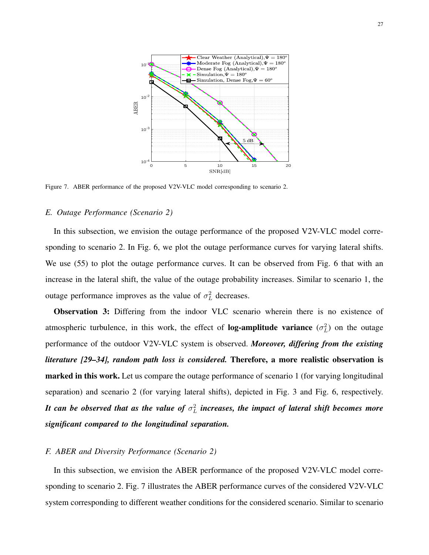

Figure 7. ABER performance of the proposed V2V-VLC model corresponding to scenario 2.

## *E. Outage Performance (Scenario 2)*

In this subsection, we envision the outage performance of the proposed V2V-VLC model corresponding to scenario 2. In Fig. 6, we plot the outage performance curves for varying lateral shifts. We use (55) to plot the outage performance curves. It can be observed from Fig. 6 that with an increase in the lateral shift, the value of the outage probability increases. Similar to scenario 1, the outage performance improves as the value of  $\sigma_L^2$  decreases.

Observation 3: Differing from the indoor VLC scenario wherein there is no existence of atmospheric turbulence, in this work, the effect of **log-amplitude variance**  $(\sigma_L^2)$  on the outage performance of the outdoor V2V-VLC system is observed. *Moreover, differing from the existing literature [29–34], random path loss is considered.* Therefore, a more realistic observation is marked in this work. Let us compare the outage performance of scenario 1 (for varying longitudinal separation) and scenario 2 (for varying lateral shifts), depicted in Fig. 3 and Fig. 6, respectively. It can be observed that as the value of  $\sigma_L^2$  increases, the impact of lateral shift becomes more *significant compared to the longitudinal separation.*

## *F. ABER and Diversity Performance (Scenario 2)*

In this subsection, we envision the ABER performance of the proposed V2V-VLC model corresponding to scenario 2. Fig. 7 illustrates the ABER performance curves of the considered V2V-VLC system corresponding to different weather conditions for the considered scenario. Similar to scenario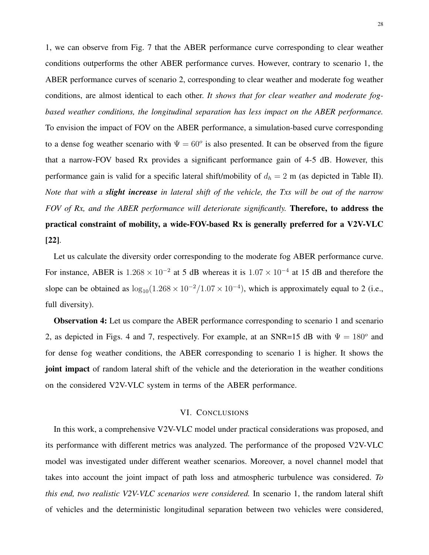1, we can observe from Fig. 7 that the ABER performance curve corresponding to clear weather conditions outperforms the other ABER performance curves. However, contrary to scenario 1, the ABER performance curves of scenario 2, corresponding to clear weather and moderate fog weather conditions, are almost identical to each other. *It shows that for clear weather and moderate fogbased weather conditions, the longitudinal separation has less impact on the ABER performance.* To envision the impact of FOV on the ABER performance, a simulation-based curve corresponding to a dense fog weather scenario with  $\Psi = 60^\circ$  is also presented. It can be observed from the figure that a narrow-FOV based Rx provides a significant performance gain of 4-5 dB. However, this performance gain is valid for a specific lateral shift/mobility of  $d_h = 2$  m (as depicted in Table II). *Note that with a slight increase in lateral shift of the vehicle, the Txs will be out of the narrow FOV of Rx, and the ABER performance will deteriorate significantly.* Therefore, to address the practical constraint of mobility, a wide-FOV-based Rx is generally preferred for a V2V-VLC [22].

Let us calculate the diversity order corresponding to the moderate fog ABER performance curve. For instance, ABER is  $1.268 \times 10^{-2}$  at 5 dB whereas it is  $1.07 \times 10^{-4}$  at 15 dB and therefore the slope can be obtained as  $\log_{10}(1.268 \times 10^{-2}/1.07 \times 10^{-4})$ , which is approximately equal to 2 (i.e., full diversity).

Observation 4: Let us compare the ABER performance corresponding to scenario 1 and scenario 2, as depicted in Figs. 4 and 7, respectively. For example, at an SNR=15 dB with  $\Psi = 180^\circ$  and for dense fog weather conditions, the ABER corresponding to scenario 1 is higher. It shows the joint impact of random lateral shift of the vehicle and the deterioration in the weather conditions on the considered V2V-VLC system in terms of the ABER performance.

#### VI. CONCLUSIONS

In this work, a comprehensive V2V-VLC model under practical considerations was proposed, and its performance with different metrics was analyzed. The performance of the proposed V2V-VLC model was investigated under different weather scenarios. Moreover, a novel channel model that takes into account the joint impact of path loss and atmospheric turbulence was considered. *To this end, two realistic V2V-VLC scenarios were considered.* In scenario 1, the random lateral shift of vehicles and the deterministic longitudinal separation between two vehicles were considered,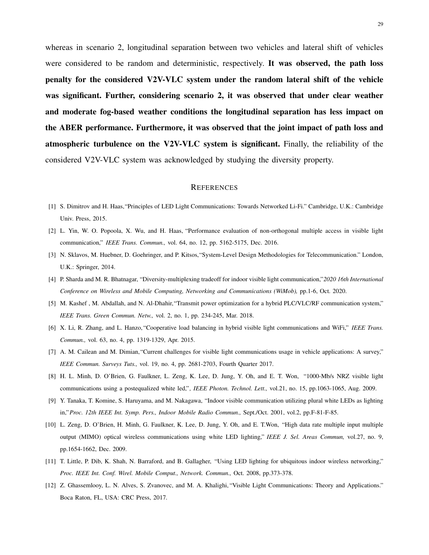whereas in scenario 2, longitudinal separation between two vehicles and lateral shift of vehicles were considered to be random and deterministic, respectively. It was observed, the path loss penalty for the considered V2V-VLC system under the random lateral shift of the vehicle was significant. Further, considering scenario 2, it was observed that under clear weather and moderate fog-based weather conditions the longitudinal separation has less impact on the ABER performance. Furthermore, it was observed that the joint impact of path loss and atmospheric turbulence on the V2V-VLC system is significant. Finally, the reliability of the considered V2V-VLC system was acknowledged by studying the diversity property.

#### **REFERENCES**

- [1] S. Dimitrov and H. Haas,"Principles of LED Light Communications: Towards Networked Li-Fi." Cambridge, U.K.: Cambridge Univ. Press, 2015.
- [2] L. Yin, W. O. Popoola, X. Wu, and H. Haas, "Performance evaluation of non-orthogonal multiple access in visible light communication," *IEEE Trans. Commun.,* vol. 64, no. 12, pp. 5162-5175, Dec. 2016.
- [3] N. Sklavos, M. Huebner, D. Goehringer, and P. Kitsos,"System-Level Design Methodologies for Telecommunication." London, U.K.: Springer, 2014.
- [4] P. Sharda and M. R. Bhatnagar, "Diversity-multiplexing tradeoff for indoor visible light communication,"*2020 16th International Conference on Wireless and Mobile Computing, Networking and Communications (WiMob),* pp.1-6, Oct. 2020.
- [5] M. Kashef , M. Abdallah, and N. Al-Dhahir,"Transmit power optimization for a hybrid PLC/VLC/RF communication system," *IEEE Trans. Green Commun. Netw.,* vol. 2, no. 1, pp. 234-245, Mar. 2018.
- [6] X. Li, R. Zhang, and L. Hanzo, "Cooperative load balancing in hybrid visible light communications and WiFi," *IEEE Trans. Commun.,* vol. 63, no. 4, pp. 1319-1329, Apr. 2015.
- [7] A. M. Cailean and M. Dimian,"Current challenges for visible light communications usage in vehicle applications: A survey," *IEEE Commun. Surveys Tuts.,* vol. 19, no. 4, pp. 2681-2703, Fourth Quarter 2017.
- [8] H. L. Minh, D. O'Brien, G. Faulkner, L. Zeng, K. Lee, D. Jung, Y. Oh, and E. T. Won, "1000-Mb/s NRZ visible light communications using a postequalized white led,"*, IEEE Photon. Technol. Lett.,* vol.21, no. 15, pp.1063-1065, Aug. 2009.
- [9] Y. Tanaka, T. Komine, S. Haruyama, and M. Nakagawa, "Indoor visible communication utilizing plural white LEDs as lighting in,"*Proc. 12th IEEE Int. Symp. Pers., Indoor Mobile Radio Commun.,* Sept./Oct. 2001, vol.2, pp.F-81-F-85.
- [10] L. Zeng, D. O'Brien, H. Minh, G. Faulkner, K. Lee, D. Jung, Y. Oh, and E. T.Won, "High data rate multiple input multiple output (MIMO) optical wireless communications using white LED lighting," *IEEE J. Sel. Areas Commun,* vol.27, no. 9, pp.1654-1662, Dec. 2009.
- [11] T. Little, P. Dib, K. Shah, N. Barraford, and B. Gallagher, "Using LED lighting for ubiquitous indoor wireless networking," *Proc. IEEE Int. Conf. Wirel. Mobile Comput., Network. Commun.,* Oct. 2008, pp.373-378.
- [12] Z. Ghassemlooy, L. N. Alves, S. Zvanovec, and M. A. Khalighi, "Visible Light Communications: Theory and Applications." Boca Raton, FL, USA: CRC Press, 2017.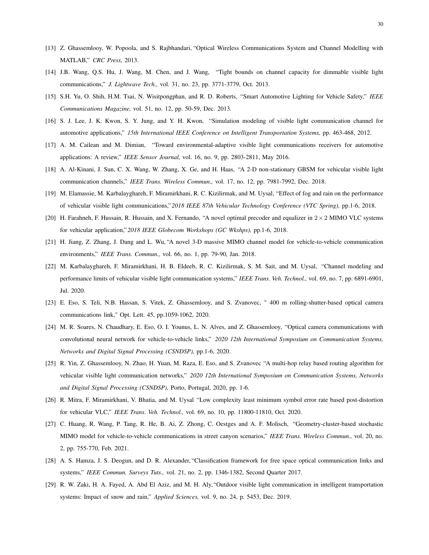- [13] Z. Ghassemlooy, W. Popoola, and S. Rajbhandari, "Optical Wireless Communications System and Channel Modelling with MATLAB," *CRC Press,* 2013.
- [14] J.B. Wang, Q.S. Hu, J. Wang, M. Chen, and J. Wang, "Tight bounds on channel capacity for dimmable visible light communications," *J. Lightwave Tech.,* vol. 31, no. 23, pp. 3771-3779, Oct. 2013.
- [15] S.H. Yu, O. Shih, H.M. Tsai, N. Wisitpongphan, and R. D. Roberts, "Smart Automotive Lighting for Vehicle Safety," *IEEE Communications Magazine,* vol. 51, no. 12, pp. 50-59, Dec. 2013.
- [16] S. J. Lee, J. K. Kwon, S. Y. Jung, and Y. H. Kwon, "Simulation modeling of visible light communication channel for automotive applications," *15th International IEEE Conference on Intelligent Transportation Systems,* pp. 463-468, 2012.
- [17] A. M. Cailean and M. Dimian, "Toward environmental-adaptive visible light communications receivers for automotive applications: A review," *IEEE Sensor Journal,* vol. 16, no. 9, pp. 2803-2811, May 2016.
- [18] A. Al-Kinani, J. Sun, C. X. Wang, W. Zhang, X. Ge, and H. Haas, "A 2-D non-stationary GBSM for vehicular visible light communication channels," *IEEE Trans. Wireless Commun.,* vol. 17, no. 12, pp. 7981-7992, Dec. 2018.
- [19] M. Elamassie, M. Karbalayghareh, F. Miramirkhani, R. C. Kizilirmak, and M. Uysal, "Effect of fog and rain on the performance of vehicular visible light communications,"*2018 IEEE 87th Vehicular Technology Conference (VTC Spring),* pp.1-6, 2018.
- [20] H. Farahneh, F. Hussain, R. Hussain, and X. Fernando, "A novel optimal precoder and equalizer in  $2 \times 2$  MIMO VLC systems for vehicular application,"*2018 IEEE Globecom Workshops (GC Wkshps),* pp.1-6, 2018.
- [21] H. Jiang, Z. Zhang, J. Dang and L. Wu, "A novel 3-D massive MIMO channel model for vehicle-to-vehicle communication environments," *IEEE Trans. Commun.,* vol. 66, no. 1, pp. 79-90, Jan. 2018.
- [22] M. Karbalayghareh, F. Miramirkhani, H. B. Eldeeb, R. C. Kizilirmak, S. M. Sait, and M. Uysal, "Channel modeling and performance limits of vehicular visible light communication systems," *IEEE Trans. Veh. Technol.,* vol. 69, no. 7, pp. 6891-6901, Jul. 2020.
- [23] E. Eso, S. Teli, N.B. Hassan, S. Vitek, Z. Ghassemlooy, and S. Zvanovec, " 400 m rolling-shutter-based optical camera communications link," Opt. Lett. 45, pp.1059-1062, 2020.
- [24] M. R. Soares, N. Chaudhary, E. Eso, O. I. Younus, L. N. Alves, and Z. Ghassemlooy, "Optical camera communications with convolutional neural network for vehicle-to-vehicle links," *2020 12th International Symposium on Communication Systems, Networks and Digital Signal Processing (CSNDSP),* pp.1-6, 2020.
- [25] R. Yin, Z. Ghassemlooy, N. Zhao, H. Yuan, M. Raza, E. Eso, and S. Zvanovec "A multi-hop relay based routing algorithm for vehicular visible light communication networks," *2020 12th International Symposium on Communication Systems, Networks and Digital Signal Processing (CSNDSP),* Porto, Portugal, 2020, pp. 1-6.
- [26] R. Mitra, F. Miramirkhani, V. Bhatia, and M. Uysal "Low complexity least minimum symbol error rate based post-distortion for vehicular VLC," *IEEE Trans. Veh. Technol.,* vol. 69, no. 10, pp. 11800-11810, Oct. 2020.
- [27] C. Huang, R. Wang, P. Tang, R. He, B. Ai, Z. Zhong, C. Oestges and A. F. Molisch, "Geometry-cluster-based stochastic MIMO model for vehicle-to-vehicle communications in street canyon scenarios," *IEEE Trans. Wireless Commun.,* vol. 20, no. 2, pp. 755-770, Feb. 2021.
- [28] A. S. Hamza, J. S. Deogun, and D. R. Alexander, "Classification framework for free space optical communication links and systems," *IEEE Commun. Surveys Tuts.,* vol. 21, no. 2, pp. 1346-1382, Second Quarter 2017.
- [29] R. W. Zaki, H. A. Fayed, A. Abd El Aziz, and M. H. Aly, "Outdoor visible light communication in intelligent transportation systems: Impact of snow and rain," *Applied Sciences,* vol. 9, no. 24, p. 5453, Dec. 2019.